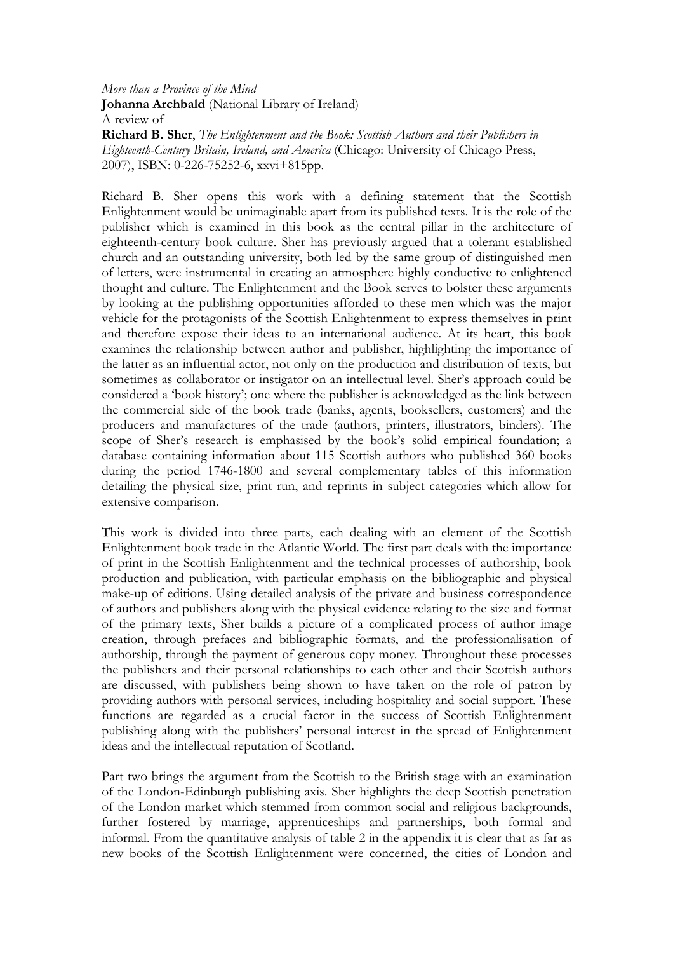More than a Province of the Mind Johanna Archbald (National Library of Ireland) A review of Richard B. Sher, The Enlightenment and the Book: Scottish Authors and their Publishers in Eighteenth-Century Britain, Ireland, and America (Chicago: University of Chicago Press, 2007), ISBN: 0-226-75252-6, xxvi+815pp.

Richard B. Sher opens this work with a defining statement that the Scottish Enlightenment would be unimaginable apart from its published texts. It is the role of the publisher which is examined in this book as the central pillar in the architecture of eighteenth-century book culture. Sher has previously argued that a tolerant established church and an outstanding university, both led by the same group of distinguished men of letters, were instrumental in creating an atmosphere highly conductive to enlightened thought and culture. The Enlightenment and the Book serves to bolster these arguments by looking at the publishing opportunities afforded to these men which was the major vehicle for the protagonists of the Scottish Enlightenment to express themselves in print and therefore expose their ideas to an international audience. At its heart, this book examines the relationship between author and publisher, highlighting the importance of the latter as an influential actor, not only on the production and distribution of texts, but sometimes as collaborator or instigator on an intellectual level. Sher's approach could be considered a 'book history'; one where the publisher is acknowledged as the link between the commercial side of the book trade (banks, agents, booksellers, customers) and the producers and manufactures of the trade (authors, printers, illustrators, binders). The scope of Sher's research is emphasised by the book's solid empirical foundation; a database containing information about 115 Scottish authors who published 360 books during the period 1746-1800 and several complementary tables of this information detailing the physical size, print run, and reprints in subject categories which allow for extensive comparison.

This work is divided into three parts, each dealing with an element of the Scottish Enlightenment book trade in the Atlantic World. The first part deals with the importance of print in the Scottish Enlightenment and the technical processes of authorship, book production and publication, with particular emphasis on the bibliographic and physical make-up of editions. Using detailed analysis of the private and business correspondence of authors and publishers along with the physical evidence relating to the size and format of the primary texts, Sher builds a picture of a complicated process of author image creation, through prefaces and bibliographic formats, and the professionalisation of authorship, through the payment of generous copy money. Throughout these processes the publishers and their personal relationships to each other and their Scottish authors are discussed, with publishers being shown to have taken on the role of patron by providing authors with personal services, including hospitality and social support. These functions are regarded as a crucial factor in the success of Scottish Enlightenment publishing along with the publishers' personal interest in the spread of Enlightenment ideas and the intellectual reputation of Scotland.

Part two brings the argument from the Scottish to the British stage with an examination of the London-Edinburgh publishing axis. Sher highlights the deep Scottish penetration of the London market which stemmed from common social and religious backgrounds, further fostered by marriage, apprenticeships and partnerships, both formal and informal. From the quantitative analysis of table 2 in the appendix it is clear that as far as new books of the Scottish Enlightenment were concerned, the cities of London and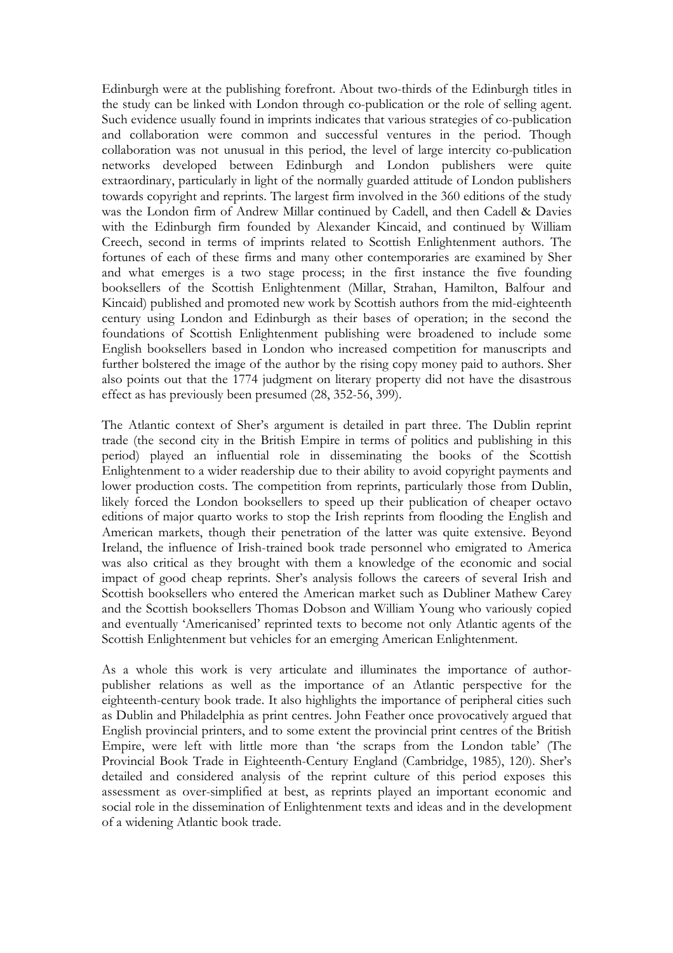Edinburgh were at the publishing forefront. About two-thirds of the Edinburgh titles in the study can be linked with London through co-publication or the role of selling agent. Such evidence usually found in imprints indicates that various strategies of co-publication and collaboration were common and successful ventures in the period. Though collaboration was not unusual in this period, the level of large intercity co-publication networks developed between Edinburgh and London publishers were quite extraordinary, particularly in light of the normally guarded attitude of London publishers towards copyright and reprints. The largest firm involved in the 360 editions of the study was the London firm of Andrew Millar continued by Cadell, and then Cadell & Davies with the Edinburgh firm founded by Alexander Kincaid, and continued by William Creech, second in terms of imprints related to Scottish Enlightenment authors. The fortunes of each of these firms and many other contemporaries are examined by Sher and what emerges is a two stage process; in the first instance the five founding booksellers of the Scottish Enlightenment (Millar, Strahan, Hamilton, Balfour and Kincaid) published and promoted new work by Scottish authors from the mid-eighteenth century using London and Edinburgh as their bases of operation; in the second the foundations of Scottish Enlightenment publishing were broadened to include some English booksellers based in London who increased competition for manuscripts and further bolstered the image of the author by the rising copy money paid to authors. Sher also points out that the 1774 judgment on literary property did not have the disastrous effect as has previously been presumed (28, 352-56, 399).

The Atlantic context of Sher's argument is detailed in part three. The Dublin reprint trade (the second city in the British Empire in terms of politics and publishing in this period) played an influential role in disseminating the books of the Scottish Enlightenment to a wider readership due to their ability to avoid copyright payments and lower production costs. The competition from reprints, particularly those from Dublin, likely forced the London booksellers to speed up their publication of cheaper octavo editions of major quarto works to stop the Irish reprints from flooding the English and American markets, though their penetration of the latter was quite extensive. Beyond Ireland, the influence of Irish-trained book trade personnel who emigrated to America was also critical as they brought with them a knowledge of the economic and social impact of good cheap reprints. Sher's analysis follows the careers of several Irish and Scottish booksellers who entered the American market such as Dubliner Mathew Carey and the Scottish booksellers Thomas Dobson and William Young who variously copied and eventually 'Americanised' reprinted texts to become not only Atlantic agents of the Scottish Enlightenment but vehicles for an emerging American Enlightenment.

As a whole this work is very articulate and illuminates the importance of authorpublisher relations as well as the importance of an Atlantic perspective for the eighteenth-century book trade. It also highlights the importance of peripheral cities such as Dublin and Philadelphia as print centres. John Feather once provocatively argued that English provincial printers, and to some extent the provincial print centres of the British Empire, were left with little more than 'the scraps from the London table' (The Provincial Book Trade in Eighteenth-Century England (Cambridge, 1985), 120). Sher's detailed and considered analysis of the reprint culture of this period exposes this assessment as over-simplified at best, as reprints played an important economic and social role in the dissemination of Enlightenment texts and ideas and in the development of a widening Atlantic book trade.